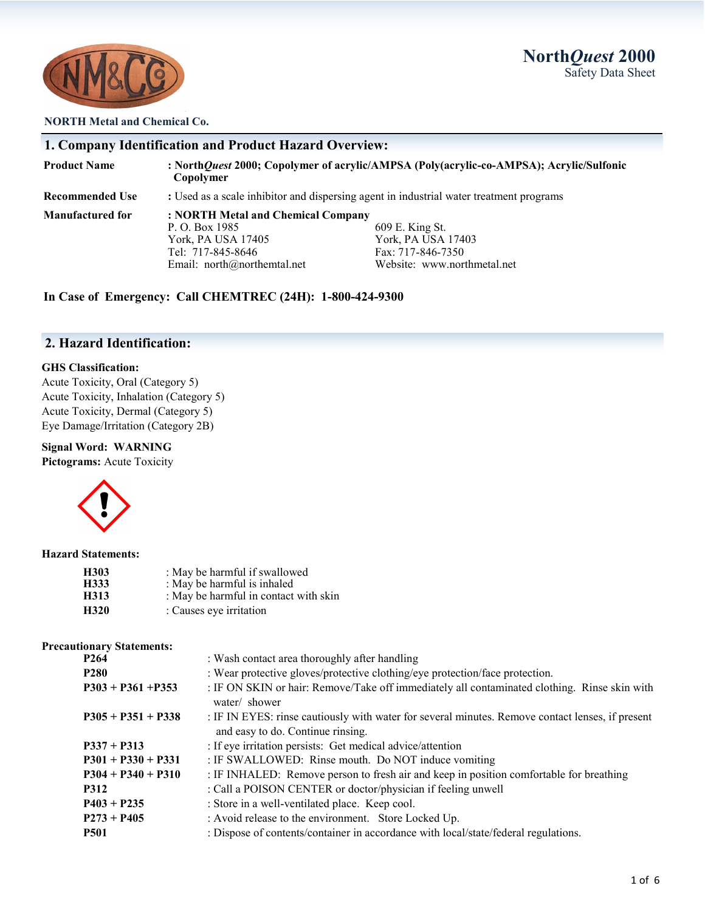**North***Quest* **2000** Safety Data Sheet



### **NORTH Metal and Chemical Co.**

|                        | 1. Company Identification and Product Hazard Overview:                                                                           |                                                                                           |
|------------------------|----------------------------------------------------------------------------------------------------------------------------------|-------------------------------------------------------------------------------------------|
| <b>Product Name</b>    | Copolymer                                                                                                                        | : NorthQuest 2000; Copolymer of acrylic/AMPSA (Poly(acrylic-co-AMPSA); Acrylic/Sulfonic   |
| <b>Recommended Use</b> | : Used as a scale inhibitor and dispersing agent in industrial water treatment programs                                          |                                                                                           |
| Manufactured for       | : NORTH Metal and Chemical Company<br>P. O. Box 1985<br>York, PA USA 17405<br>Tel: 717-845-8646<br>Email: $north@northemtal.net$ | 609 E. King St.<br>York, PA USA 17403<br>Fax: 717-846-7350<br>Website: www.northmetal.net |

**In Case of Emergency: Call CHEMTREC (24H): 1-800-424-9300**

### **2. Hazard Identification:**

### **GHS Classification:**

Acute Toxicity, Oral (Category 5) Acute Toxicity, Inhalation (Category 5) Acute Toxicity, Dermal (Category 5) Eye Damage/Irritation (Category 2B)

### **Signal Word: WARNING**

**Pictograms:** Acute Toxicity



#### **Hazard Statements:**

| H303 | : May be harmful if swallowed         |
|------|---------------------------------------|
| H333 | : May be harmful is inhaled           |
| H313 | : May be harmful in contact with skin |
| H320 | : Causes eye irritation               |

#### **Precautionary Statements:**

| P <sub>264</sub>     | : Wash contact area thoroughly after handling                                                                                         |  |
|----------------------|---------------------------------------------------------------------------------------------------------------------------------------|--|
| <b>P280</b>          | : Wear protective gloves/protective clothing/eye protection/face protection.                                                          |  |
| $P303 + P361 + P353$ | : IF ON SKIN or hair: Remove/Take off immediately all contaminated clothing. Rinse skin with<br>water/ shower                         |  |
| $P305 + P351 + P338$ | : IF IN EYES: rinse cautiously with water for several minutes. Remove contact lenses, if present<br>and easy to do. Continue rinsing. |  |
| $P337 + P313$        | : If eye irritation persists: Get medical advice/attention                                                                            |  |
| $P301 + P330 + P331$ | : IF SWALLOWED: Rinse mouth. Do NOT induce vomiting                                                                                   |  |
| $P304 + P340 + P310$ | : IF INHALED: Remove person to fresh air and keep in position comfortable for breathing                                               |  |
| <b>P312</b>          | : Call a POISON CENTER or doctor/physician if feeling unwell                                                                          |  |
| $P403 + P235$        | : Store in a well-ventilated place. Keep cool.                                                                                        |  |
| $P273 + P405$        | : Avoid release to the environment. Store Locked Up.                                                                                  |  |
| <b>P501</b>          | : Dispose of contents/container in accordance with local/state/federal regulations.                                                   |  |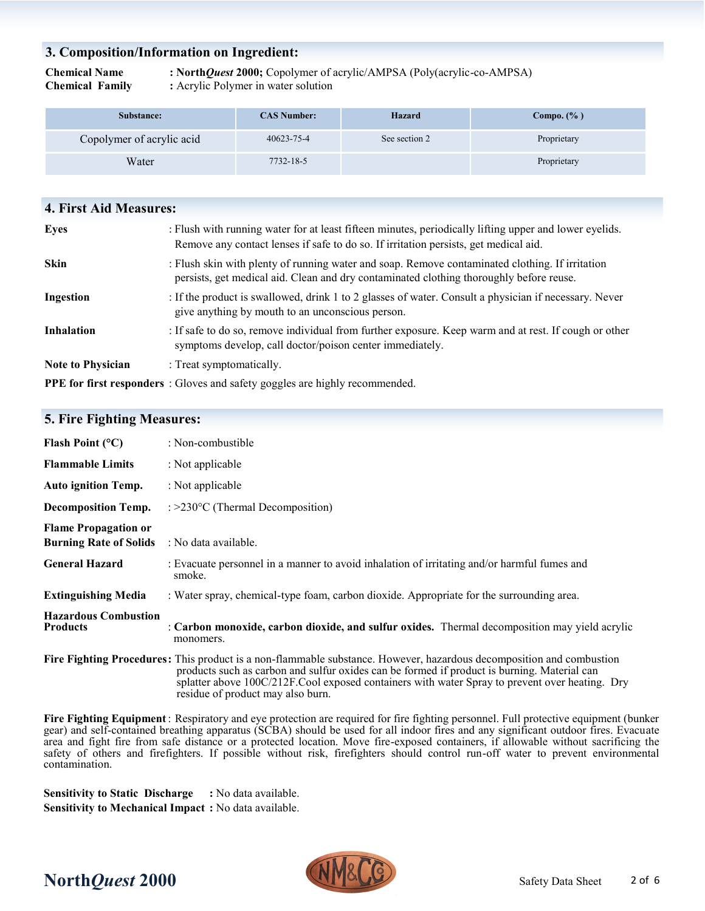### **3. Composition/Information on Ingredient:**

**Chemical Name : North***Quest* **2000;** Copolymer of acrylic/AMPSA (Poly(acrylic-co-AMPSA) **Chemical Family :** Acrylic Polymer in water solution

| Substance:                | <b>CAS Number:</b> | <b>Hazard</b> | Compo. $(\% )$ |
|---------------------------|--------------------|---------------|----------------|
| Copolymer of acrylic acid | 40623-75-4         | See section 2 | Proprietary    |
| Water                     | 7732-18-5          |               | Proprietary    |

| <b>4. First Aid Measures:</b> |                                                                                                                                                                                                |
|-------------------------------|------------------------------------------------------------------------------------------------------------------------------------------------------------------------------------------------|
| Eyes                          | : Flush with running water for at least fifteen minutes, periodically lifting upper and lower eyelids.<br>Remove any contact lenses if safe to do so. If irritation persists, get medical aid. |
| <b>Skin</b>                   | : Flush skin with plenty of running water and soap. Remove contaminated clothing. If irritation<br>persists, get medical aid. Clean and dry contaminated clothing thoroughly before reuse.     |
| Ingestion                     | : If the product is swallowed, drink 1 to 2 glasses of water. Consult a physician if necessary. Never<br>give anything by mouth to an unconscious person.                                      |
| <b>Inhalation</b>             | : If safe to do so, remove individual from further exposure. Keep warm and at rest. If cough or other<br>symptoms develop, call doctor/poison center immediately.                              |
| <b>Note to Physician</b>      | : Treat symptomatically.                                                                                                                                                                       |
|                               | PPE for first responders : Gloves and safety goggles are highly recommended.                                                                                                                   |

### **5. Fire Fighting Measures:**

| Flash Point $(^{\circ}C)$                                    | : Non-combustible                                                                                                                                                                                                                                                                                                                                          |
|--------------------------------------------------------------|------------------------------------------------------------------------------------------------------------------------------------------------------------------------------------------------------------------------------------------------------------------------------------------------------------------------------------------------------------|
| <b>Flammable Limits</b>                                      | : Not applicable                                                                                                                                                                                                                                                                                                                                           |
| <b>Auto ignition Temp.</b>                                   | : Not applicable                                                                                                                                                                                                                                                                                                                                           |
| <b>Decomposition Temp.</b>                                   | : $>230^{\circ}$ C (Thermal Decomposition)                                                                                                                                                                                                                                                                                                                 |
| <b>Flame Propagation or</b><br><b>Burning Rate of Solids</b> | : No data available.                                                                                                                                                                                                                                                                                                                                       |
| <b>General Hazard</b>                                        | : Evacuate personnel in a manner to avoid inhalation of irritating and/or harmful fumes and<br>smoke.                                                                                                                                                                                                                                                      |
| <b>Extinguishing Media</b>                                   | : Water spray, chemical-type foam, carbon dioxide. Appropriate for the surrounding area.                                                                                                                                                                                                                                                                   |
| <b>Hazardous Combustion</b><br><b>Products</b>               | : Carbon monoxide, carbon dioxide, and sulfur oxides. Thermal decomposition may yield acrylic<br>monomers.                                                                                                                                                                                                                                                 |
|                                                              | Fire Fighting Procedures: This product is a non-flammable substance. However, hazardous decomposition and combustion<br>products such as carbon and sulfur oxides can be formed if product is burning. Material can<br>splatter above 100C/212F.Cool exposed containers with water Spray to prevent over heating. Dry<br>residue of product may also burn. |

**Fire Fighting Equipment**: Respiratory and eye protection are required for fire fighting personnel. Full protective equipment (bunker gear) and self-contained breathing apparatus (SCBA) should be used for all indoor fires and any significant outdoor fires. Evacuate area and fight fire from safe distance or a protected location. Move fire-exposed containers, if allowable without sacrificing the safety of others and firefighters. If possible without risk, firefighters should control run-off water to prevent environmental contamination.

**Sensitivity to Static Discharge :** No data available. **Sensitivity to Mechanical Impact :** No data available.

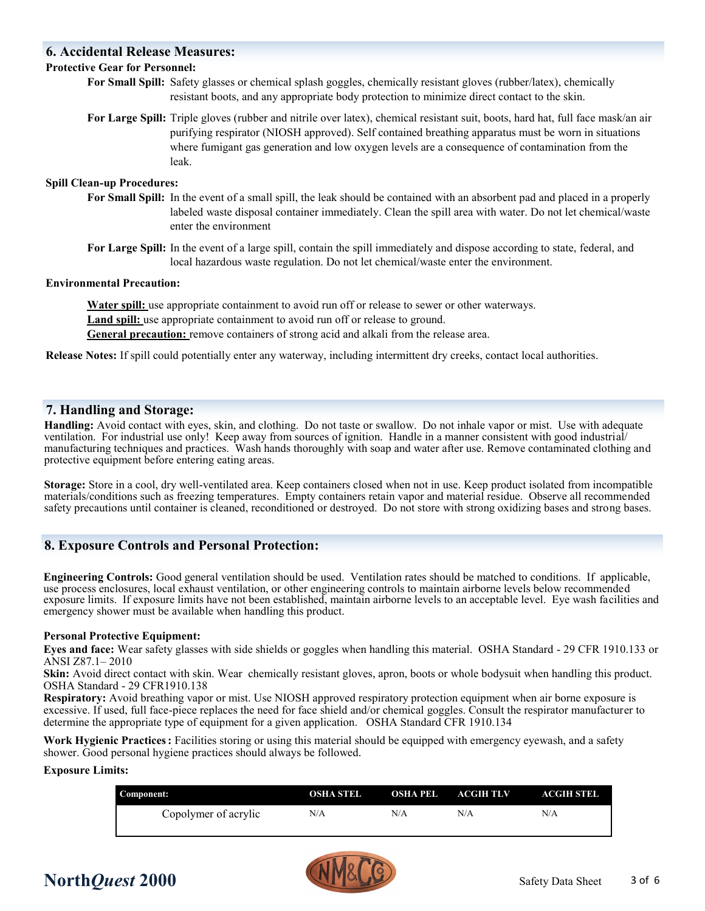### **6. Accidental Release Measures:**

### **Protective Gear for Personnel:**

- **For Small Spill:** Safety glasses or chemical splash goggles, chemically resistant gloves (rubber/latex), chemically resistant boots, and any appropriate body protection to minimize direct contact to the skin.
- **For Large Spill:** Triple gloves (rubber and nitrile over latex), chemical resistant suit, boots, hard hat, full face mask/an air purifying respirator (NIOSH approved). Self contained breathing apparatus must be worn in situations where fumigant gas generation and low oxygen levels are a consequence of contamination from the leak.

### **Spill Clean-up Procedures:**

- **For Small Spill:** In the event of a small spill, the leak should be contained with an absorbent pad and placed in a properly labeled waste disposal container immediately. Clean the spill area with water. Do not let chemical/waste enter the environment
- **For Large Spill:** In the event of a large spill, contain the spill immediately and dispose according to state, federal, and local hazardous waste regulation. Do not let chemical/waste enter the environment.

### **Environmental Precaution:**

Water spill: use appropriate containment to avoid run off or release to sewer or other waterways. Land spill: use appropriate containment to avoid run off or release to ground. **General precaution:** remove containers of strong acid and alkali from the release area.

**Release Notes:** If spill could potentially enter any waterway, including intermittent dry creeks, contact local authorities.

### **7. Handling and Storage:**

**Handling:** Avoid contact with eyes, skin, and clothing. Do not taste or swallow. Do not inhale vapor or mist. Use with adequate ventilation. For industrial use only! Keep away from sources of ignition. Handle in a manner consistent with good industrial/ manufacturing techniques and practices. Wash hands thoroughly with soap and water after use. Remove contaminated clothing and protective equipment before entering eating areas.

**Storage:** Store in a cool, dry well-ventilated area. Keep containers closed when not in use. Keep product isolated from incompatible materials/conditions such as freezing temperatures. Empty containers retain vapor and material residue. Observe all recommended safety precautions until container is cleaned, reconditioned or destroyed. Do not store with strong oxidizing bases and strong bases.

### **8. Exposure Controls and Personal Protection:**

**Engineering Controls:** Good general ventilation should be used. Ventilation rates should be matched to conditions. If applicable, use process enclosures, local exhaust ventilation, or other engineering controls to maintain airborne levels below recommended exposure limits. If exposure limits have not been established, maintain airborne levels to an acceptable level. Eye wash facilities and emergency shower must be available when handling this product.

#### **Personal Protective Equipment:**

**Eyes and face:** Wear safety glasses with side shields or goggles when handling this material. OSHA Standard - 29 CFR 1910.133 or ANSI Z87.1– 2010

**Skin:** Avoid direct contact with skin. Wear chemically resistant gloves, apron, boots or whole bodysuit when handling this product. OSHA Standard - 29 CFR1910.138

**Respiratory:** Avoid breathing vapor or mist. Use NIOSH approved respiratory protection equipment when air borne exposure is excessive. If used, full face-piece replaces the need for face shield and/or chemical goggles. Consult the respirator manufacturer to determine the appropriate type of equipment for a given application. OSHA Standard CFR 1910.134

**Work Hygienic Practices:** Facilities storing or using this material should be equipped with emergency eyewash, and a safety shower. Good personal hygiene practices should always be followed.

#### **Exposure Limits:**

| Component:           | OSHA STEL | OSHA PEL | ACGIH TLV | ACGIH STEL |
|----------------------|-----------|----------|-----------|------------|
| Copolymer of acrylic | N/A       | N/A      | N/A       | N/A        |



## **North***Quest* **2000** Safety Data Sheet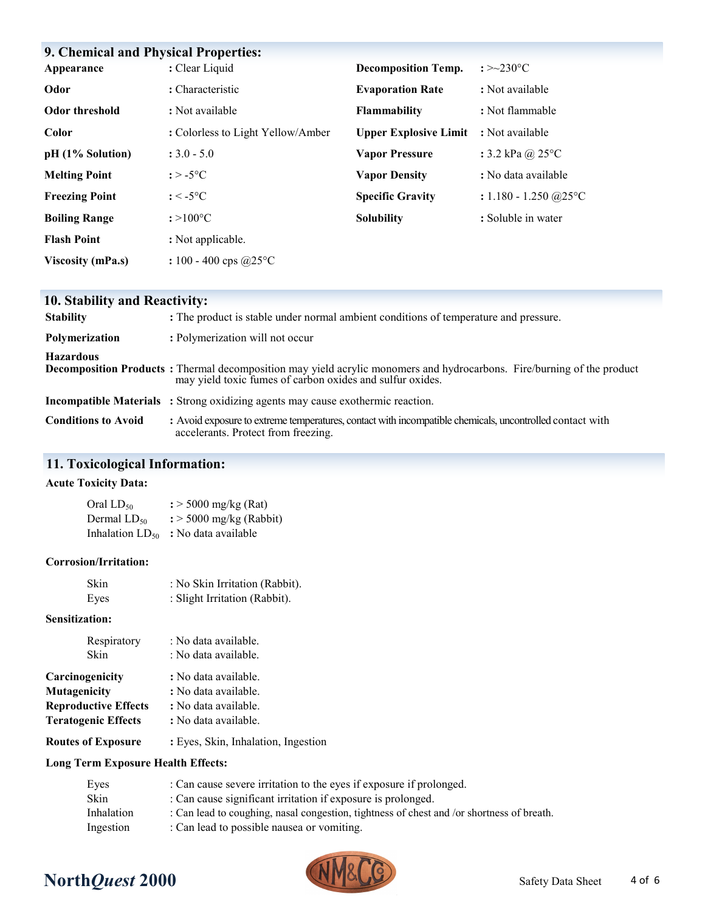| <b>9. Chemical and Physical Properties:</b> |                                   |                              |                                    |
|---------------------------------------------|-----------------------------------|------------------------------|------------------------------------|
| Appearance                                  | : Clear Liquid                    | <b>Decomposition Temp.</b>   | : $>230^{\circ}$ C                 |
| Odor                                        | : Characteristic                  | <b>Evaporation Rate</b>      | : Not available                    |
| <b>Odor threshold</b>                       | : Not available                   | <b>Flammability</b>          | : Not flammable                    |
| Color                                       | : Colorless to Light Yellow/Amber | <b>Upper Explosive Limit</b> | : Not available                    |
| pH (1% Solution)                            | $: 3.0 - 5.0$                     | <b>Vapor Pressure</b>        | : 3.2 kPa @ $25^{\circ}$ C         |
| <b>Melting Point</b>                        | $: > -5$ °C                       | <b>Vapor Density</b>         | : No data available                |
| <b>Freezing Point</b>                       | $: < -5$ °C                       | <b>Specific Gravity</b>      | : $1.180 - 1.250$ @ $25^{\circ}$ C |
| <b>Boiling Range</b>                        | $: >100^{\circ}C$                 | <b>Solubility</b>            | : Soluble in water                 |
| <b>Flash Point</b>                          | : Not applicable.                 |                              |                                    |
| <b>Viscosity (mPa.s)</b>                    | : 100 - 400 cps $@25$ °C          |                              |                                    |

### **10. Stability and Reactivity:**

| <b>Stability</b>           | : The product is stable under normal ambient conditions of temperature and pressure.                                                                                                        |
|----------------------------|---------------------------------------------------------------------------------------------------------------------------------------------------------------------------------------------|
| Polymerization             | : Polymerization will not occur                                                                                                                                                             |
| <b>Hazardous</b>           | <b>Decomposition Products</b> : Thermal decomposition may yield acrylic monomers and hydrocarbons. Fire/burning of the product<br>may yield toxic fumes of carbon oxides and sulfur oxides. |
|                            | <b>Incompatible Materials</b> : Strong oxidizing agents may cause exothermic reaction.                                                                                                      |
| <b>Conditions to Avoid</b> | : Avoid exposure to extreme temperatures, contact with incompatible chemicals, uncontrolled contact with<br>accelerants. Protect from freezing.                                             |

### **11. Toxicological Information:**

### **Acute Toxicity Data:**

| Oral LD <sub>50</sub>       | $\frac{1}{2}$ > 5000 mg/kg (Rat)    |
|-----------------------------|-------------------------------------|
| Dermal LD <sub>50</sub>     | $\frac{1}{2}$ > 5000 mg/kg (Rabbit) |
| Inhalation LD <sub>50</sub> | : No data available                 |

### **Corrosion/Irritation:**

| Skin | : No Skin Irritation (Rabbit). |
|------|--------------------------------|
| Eyes | : Slight Irritation (Rabbit).  |

### **Sensitization:**

| Respiratory                 | : No data available.                |
|-----------------------------|-------------------------------------|
| Skin                        | : No data available.                |
| Carcinogenicity             | : No data available.                |
| Mutagenicity                | : No data available.                |
| <b>Reproductive Effects</b> | : No data available.                |
| <b>Teratogenic Effects</b>  | : No data available.                |
| <b>Routes of Exposure</b>   | : Eyes, Skin, Inhalation, Ingestion |

### **Long Term Exposure Health Effects:**

| Eyes       | : Can cause severe irritation to the eyes if exposure if prolonged.                       |
|------------|-------------------------------------------------------------------------------------------|
| Skin       | : Can cause significant irritation if exposure is prolonged.                              |
| Inhalation | : Can lead to coughing, nasal congestion, tightness of chest and /or shortness of breath. |
| Ingestion  | : Can lead to possible nausea or vomiting.                                                |
|            |                                                                                           |

# **North***Quest* **2000** Safety Data Sheet

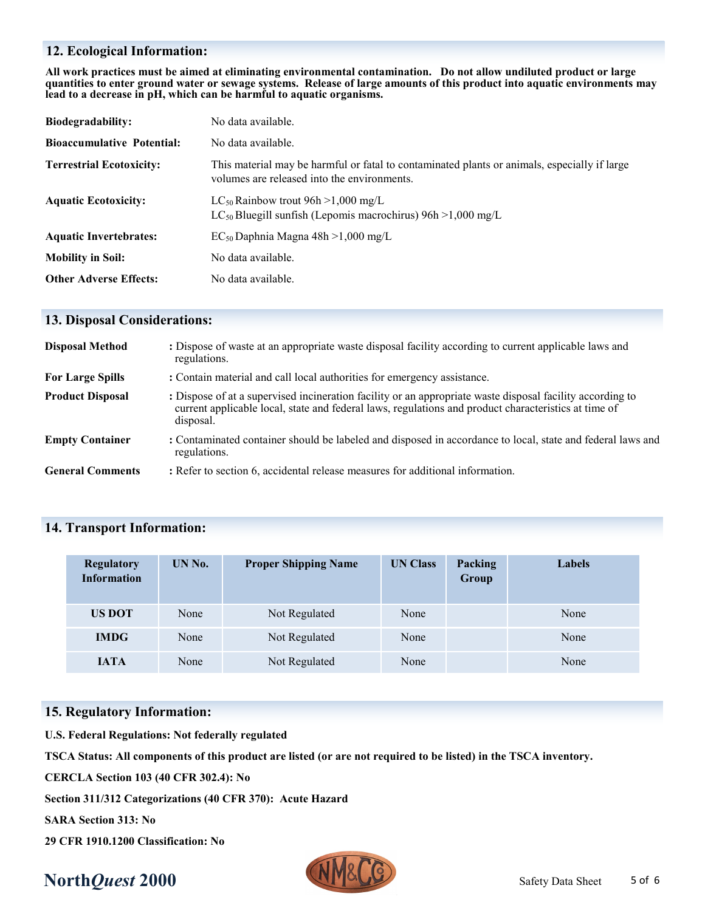### **12. Ecological Information:**

**All work practices must be aimed at eliminating environmental contamination. Do not allow undiluted product or large quantities to enter ground water or sewage systems. Release of large amounts of this product into aquatic environments may lead to a decrease in pH, which can be harmful to aquatic organisms.**

| Biodegradability:                 | No data available.                                                                                                                          |
|-----------------------------------|---------------------------------------------------------------------------------------------------------------------------------------------|
| <b>Bioaccumulative Potential:</b> | No data available.                                                                                                                          |
| <b>Terrestrial Ecotoxicity:</b>   | This material may be harmful or fatal to contaminated plants or animals, especially if large<br>volumes are released into the environments. |
| <b>Aquatic Ecotoxicity:</b>       | LC <sub>50</sub> Rainbow trout $96h > 1,000$ mg/L<br>$LC_{50}$ Bluegill sunfish (Lepomis macrochirus) 96h > 1,000 mg/L                      |
| <b>Aquatic Invertebrates:</b>     | $EC_{50}$ Daphnia Magna 48h >1,000 mg/L                                                                                                     |
| <b>Mobility in Soil:</b>          | No data available.                                                                                                                          |
| <b>Other Adverse Effects:</b>     | No data available.                                                                                                                          |

### **13. Disposal Considerations:**

| <b>Disposal Method</b>  | : Dispose of waste at an appropriate waste disposal facility according to current applicable laws and<br>regulations.                                                                                                          |
|-------------------------|--------------------------------------------------------------------------------------------------------------------------------------------------------------------------------------------------------------------------------|
| <b>For Large Spills</b> | : Contain material and call local authorities for emergency assistance.                                                                                                                                                        |
| <b>Product Disposal</b> | : Dispose of at a supervised incineration facility or an appropriate waste disposal facility according to<br>current applicable local, state and federal laws, regulations and product characteristics at time of<br>disposal. |
| <b>Empty Container</b>  | : Contaminated container should be labeled and disposed in accordance to local, state and federal laws and<br>regulations.                                                                                                     |
| <b>General Comments</b> | : Refer to section 6, accidental release measures for additional information.                                                                                                                                                  |

### **14. Transport Information:**

| <b>Regulatory</b><br><b>Information</b> | UN No. | <b>Proper Shipping Name</b> | <b>UN Class</b> | Packing<br>Group | Labels |
|-----------------------------------------|--------|-----------------------------|-----------------|------------------|--------|
| <b>US DOT</b>                           | None   | Not Regulated               | None            |                  | None   |
| <b>IMDG</b>                             | None   | Not Regulated               | None            |                  | None   |
| <b>IATA</b>                             | None   | Not Regulated               | None            |                  | None   |

### **15. Regulatory Information:**

**U.S. Federal Regulations: Not federally regulated**

**TSCA Status: All components of this product are listed (or are not required to be listed) in the TSCA inventory.**

**CERCLA Section 103 (40 CFR 302.4): No**

**Section 311/312 Categorizations (40 CFR 370): Acute Hazard**

**SARA Section 313: No**

**29 CFR 1910.1200 Classification: No** 

# **North***Quest* **2000** Safety Data Sheet